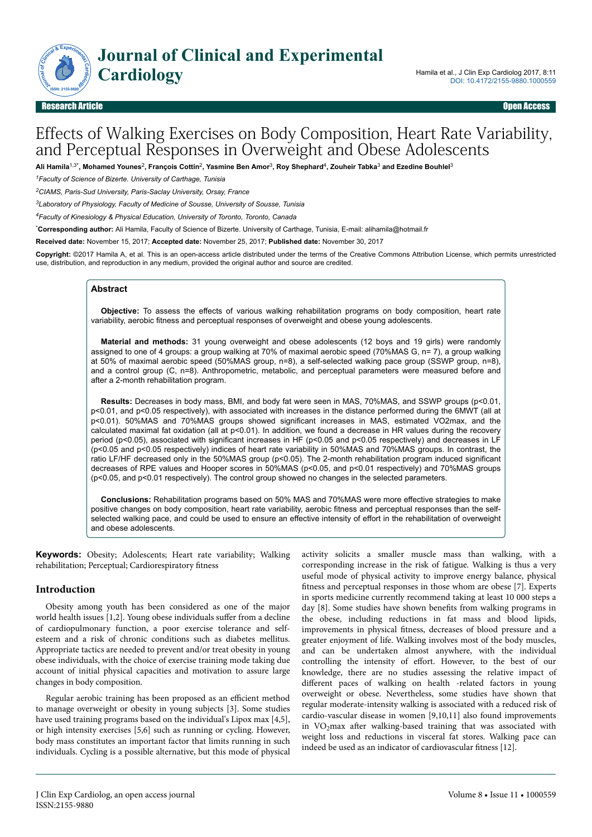

# Effects of Walking Exercises on Body Composition, Heart Rate Variability, and Perceptual Responses in Overweight and Obese Adolescents

**Ali Hamila**1,3\***, Mohamed Younes**<sup>2</sup> **, François Cottin**<sup>2</sup> **, Yasmine Ben Amor**<sup>3</sup> **, Roy Shephard**<sup>4</sup> **, Zouheir Tabka**<sup>3</sup>  **and Ezedine Bouhlel**<sup>3</sup>

*<sup>1</sup>Faculty of Science of Bizerte. University of Carthage, Tunisia*

*<sup>2</sup>CIAMS, Paris-Sud University, Paris-Saclay University, Orsay, France*

*<sup>3</sup>Laboratory of Physiology, Faculty of Medicine of Sousse, University of Sousse, Tunisia*

*<sup>4</sup>Faculty of Kinesiology & Physical Education, University of Toronto, Toronto, Canada*

\***Corresponding author:** Ali Hamila, Faculty of Science of Bizerte. University of Carthage, Tunisia, E-mail: alihamila@hotmail.fr

**Received date:** November 15, 2017; **Accepted date:** November 25, 2017; **Published date:** November 30, 2017

**Copyright:** ©2017 Hamila A, et al. This is an open-access article distributed under the terms of the Creative Commons Attribution License, which permits unrestricted use, distribution, and reproduction in any medium, provided the original author and source are credited.

### **Abstract**

**Objective:** To assess the effects of various walking rehabilitation programs on body composition, heart rate variability, aerobic fitness and perceptual responses of overweight and obese young adolescents.

**Material and methods:** 31 young overweight and obese adolescents (12 boys and 19 girls) were randomly assigned to one of 4 groups: a group walking at 70% of maximal aerobic speed (70%MAS G, n= 7), a group walking at 50% of maximal aerobic speed (50%MAS group, n=8), a self-selected walking pace group (SSWP group, n=8), and a control group (C, n=8). Anthropometric, metabolic, and perceptual parameters were measured before and after a 2-month rehabilitation program.

**Results:** Decreases in body mass, BMI, and body fat were seen in MAS, 70%MAS, and SSWP groups (p<0.01, p<0.01, and p<0.05 respectively), with associated with increases in the distance performed during the 6MWT (all at p<0.01). 50%MAS and 70%MAS groups showed significant increases in MAS, estimated VO2max, and the calculated maximal fat oxidation (all at p<0.01). In addition, we found a decrease in HR values during the recovery period (p<0.05), associated with significant increases in HF (p<0.05 and p<0.05 respectively) and decreases in LF (p<0.05 and p<0.05 respectively) indices of heart rate variability in 50%MAS and 70%MAS groups. In contrast, the ratio LF/HF decreased only in the 50%MAS group (p<0.05). The 2-month rehabilitation program induced significant decreases of RPE values and Hooper scores in 50%MAS (p<0.05, and p<0.01 respectively) and 70%MAS groups (p<0.05, and p<0.01 respectively). The control group showed no changes in the selected parameters.

**Conclusions:** Rehabilitation programs based on 50% MAS and 70%MAS were more effective strategies to make positive changes on body composition, heart rate variability, aerobic fitness and perceptual responses than the selfselected walking pace, and could be used to ensure an effective intensity of effort in the rehabilitation of overweight and obese adolescents.

**Keywords:** Obesity; Adolescents; Heart rate variability; Walking rehabilitation; Perceptual; Cardiorespiratory fitness

# **Introduction**

Obesity among youth has been considered as one of the major world health issues [1,2]. Young obese individuals suffer from a decline of cardiopulmonary function, a poor exercise tolerance and selfesteem and a risk of chronic conditions such as diabetes mellitus. Appropriate tactics are needed to prevent and/or treat obesity in young obese individuals, with the choice of exercise training mode taking due account of initial physical capacities and motivation to assure large changes in body composition.

Regular aerobic training has been proposed as an efficient method to manage overweight or obesity in young subjects [3]. Some studies have used training programs based on the individual's Lipox max [4,5], or high intensity exercises [5,6] such as running or cycling. However, body mass constitutes an important factor that limits running in such individuals. Cycling is a possible alternative, but this mode of physical

activity solicits a smaller muscle mass than walking, with a corresponding increase in the risk of fatigue. Walking is thus a very useful mode of physical activity to improve energy balance, physical fitness and perceptual responses in those whom are obese [7]. Experts in sports medicine currently recommend taking at least 10 000 steps a day [8]. Some studies have shown benefits from walking programs in the obese, including reductions in fat mass and blood lipids, improvements in physical fitness, decreases of blood pressure and a greater enjoyment of life. Walking involves most of the body muscles, and can be undertaken almost anywhere, with the individual controlling the intensity of effort. However, to the best of our knowledge, there are no studies assessing the relative impact of different paces of walking on health -related factors in young overweight or obese. Nevertheless, some studies have shown that regular moderate-intensity walking is associated with a reduced risk of cardio-vascular disease in women [9,10,11] also found improvements in  $VO<sub>2</sub>max$  after walking-based training that was associated with weight loss and reductions in visceral fat stores. Walking pace can indeed be used as an indicator of cardiovascular fitness [12].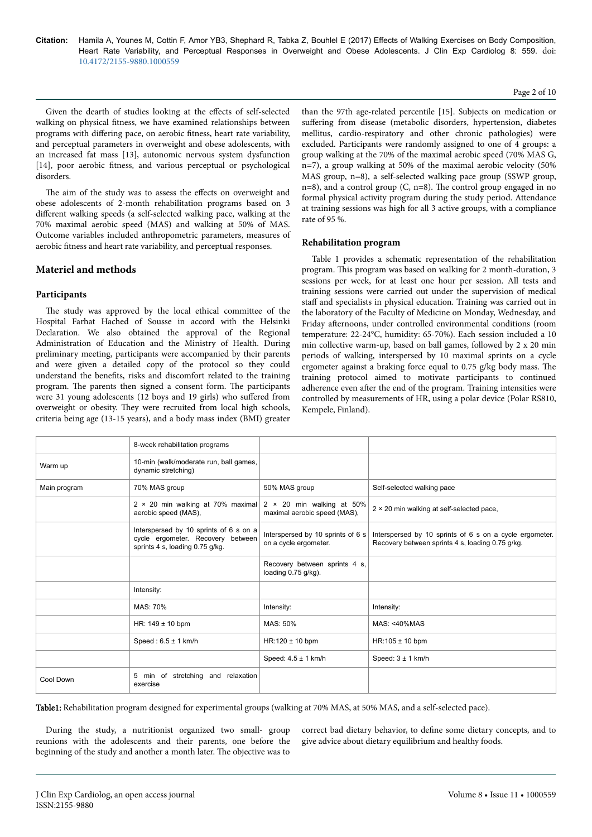#### Page 2 of 10

Given the dearth of studies looking at the effects of self-selected walking on physical fitness, we have examined relationships between programs with differing pace, on aerobic fitness, heart rate variability, and perceptual parameters in overweight and obese adolescents, with an increased fat mass [13], autonomic nervous system dysfunction [14], poor aerobic fitness, and various perceptual or psychological disorders.

The aim of the study was to assess the effects on overweight and obese adolescents of 2-month rehabilitation programs based on 3 different walking speeds (a self-selected walking pace, walking at the 70% maximal aerobic speed (MAS) and walking at 50% of MAS. Outcome variables included anthropometric parameters, measures of aerobic fitness and heart rate variability, and perceptual responses.

# **Materiel and methods**

# **Participants**

The study was approved by the local ethical committee of the Hospital Farhat Hached of Sousse in accord with the Helsinki Declaration. We also obtained the approval of the Regional Administration of Education and the Ministry of Health. During preliminary meeting, participants were accompanied by their parents and were given a detailed copy of the protocol so they could understand the benefits, risks and discomfort related to the training program. Нe parents then signed a consent form. Нe participants were 31 young adolescents (12 boys and 19 girls) who suffered from overweight or obesity. They were recruited from local high schools, criteria being age (13-15 years), and a body mass index (BMI) greater

than the 97th age-related percentile [15]. Subjects on medication or suffering from disease (metabolic disorders, hypertension, diabetes mellitus, cardio-respiratory and other chronic pathologies) were excluded. Participants were randomly assigned to one of 4 groups: a group walking at the 70% of the maximal aerobic speed (70% MAS G, n=7), a group walking at 50% of the maximal aerobic velocity (50% MAS group, n=8), a self-selected walking pace group (SSWP group, n=8), and a control group  $(C, n=8)$ . The control group engaged in no formal physical activity program during the study period. Attendance at training sessions was high for all 3 active groups, with a compliance rate of 95 %.

### **Rehabilitation program**

Table 1 provides a schematic representation of the rehabilitation program. Нis program was based on walking for 2 month-duration, 3 sessions per week, for at least one hour per session. All tests and training sessions were carried out under the supervision of medical staff and specialists in physical education. Training was carried out in the laboratory of the Faculty of Medicine on Monday, Wednesday, and Friday afternoons, under controlled environmental conditions (room temperature: 22-24°C, humidity: 65-70%). Each session included a 10 min collective warm-up, based on ball games, followed by 2 x 20 min periods of walking, interspersed by 10 maximal sprints on a cycle ergometer against a braking force equal to 0.75 g/kg body mass. The training protocol aimed to motivate participants to continued adherence even after the end of the program. Training intensities were controlled by measurements of HR, using a polar device (Polar RS810, Kempele, Finland).

|              | 8-week rehabilitation programs                                                                                 |                                                                  |                                                                                                             |
|--------------|----------------------------------------------------------------------------------------------------------------|------------------------------------------------------------------|-------------------------------------------------------------------------------------------------------------|
| Warm up      | 10-min (walk/moderate run, ball games,<br>dynamic stretching)                                                  |                                                                  |                                                                                                             |
| Main program | 70% MAS group                                                                                                  | 50% MAS group                                                    | Self-selected walking pace                                                                                  |
|              | $2 \times 20$ min walking at 70% maximal<br>aerobic speed (MAS),                                               | $2 \times 20$ min walking at 50%<br>maximal aerobic speed (MAS), | 2 × 20 min walking at self-selected pace,                                                                   |
|              | Interspersed by 10 sprints of 6 s on a<br>cycle ergometer. Recovery between<br>sprints 4 s, loading 0.75 g/kg. | Interspersed by 10 sprints of 6 s<br>on a cycle ergometer.       | Interspersed by 10 sprints of 6 s on a cycle ergometer.<br>Recovery between sprints 4 s, loading 0.75 g/kg. |
|              |                                                                                                                | Recovery between sprints 4 s,<br>loading 0.75 g/kg).             |                                                                                                             |
|              | Intensity:                                                                                                     |                                                                  |                                                                                                             |
|              | MAS: 70%                                                                                                       | Intensity:                                                       | Intensity:                                                                                                  |
|              | HR: $149 \pm 10$ bpm                                                                                           | MAS: 50%                                                         | $MAS: < 40\%$ MAS                                                                                           |
|              | Speed: $6.5 \pm 1$ km/h                                                                                        | $HR:120 \pm 10$ bpm                                              | $HR:105 \pm 10$ bpm                                                                                         |
|              |                                                                                                                | Speed: $4.5 \pm 1$ km/h                                          | Speed: $3 \pm 1$ km/h                                                                                       |
| Cool Down    | 5 min of stretching and relaxation<br>exercise                                                                 |                                                                  |                                                                                                             |

Table1: Rehabilitation program designed for experimental groups (walking at 70% MAS, at 50% MAS, and a self-selected pace).

During the study, a nutritionist organized two small- group reunions with the adolescents and their parents, one before the beginning of the study and another a month later. Нe objective was to

correct bad dietary behavior, to define some dietary concepts, and to give advice about dietary equilibrium and healthy foods.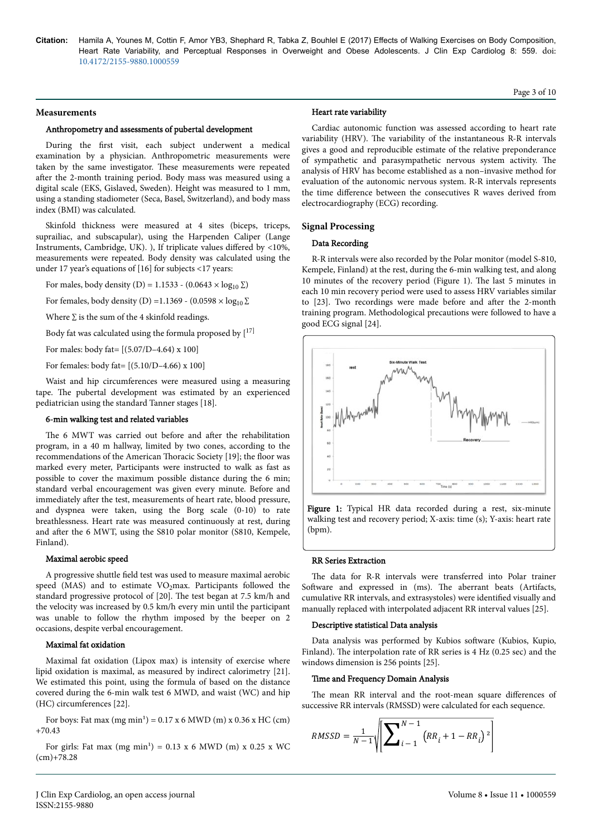#### **Measurements**

### Anthropometry and assessments of pubertal development

During the first visit, each subject underwent a medical examination by a physician. Anthropometric measurements were taken by the same investigator. Нese measurements were repeated after the 2-month training period. Body mass was measured using a digital scale (EKS, Gislaved, Sweden). Height was measured to 1 mm, using a standing stadiometer (Seca, Basel, Switzerland), and body mass index (BMI) was calculated.

Skinfold thickness were measured at 4 sites (biceps, triceps, suprailiac, and subscapular), using the Harpenden Caliper (Lange Instruments, Cambridge, UK). ), If triplicate values differed by <10%, measurements were repeated. Body density was calculated using the under 17 year's equations of [16] for subjects <17 years:

For males, body density (D) = 1.1533 - (0.0643 × log<sub>10</sub>  $\Sigma$ )

For females, body density (D) =1.1369 - (0.0598  $\times$  log<sub>10</sub>  $\Sigma$ 

Where  $\Sigma$  is the sum of the 4 skinfold readings.

Body fat was calculated using the formula proposed by  $[17]$ 

For males: body fat= [(5.07/D–4.64) x 100]

For females: body fat= [(5.10/D–4.66) x 100]

Waist and hip circumferences were measured using a measuring tape. The pubertal development was estimated by an experienced pediatrician using the standard Tanner stages [18].

# 6-min walking test and related variables

The 6 MWT was carried out before and after the rehabilitation program, in a 40 m hallway, limited by two cones, according to the recommendations of the American Нoracic Society [19]; the floor was marked every meter, Participants were instructed to walk as fast as possible to cover the maximum possible distance during the 6 min; standard verbal encouragement was given every minute. Before and immediately after the test, measurements of heart rate, blood pressure, and dyspnea were taken, using the Borg scale (0-10) to rate breathlessness. Heart rate was measured continuously at rest, during and after the 6 MWT, using the S810 polar monitor (S810, Kempele, Finland).

#### Maximal aerobic speed

A progressive shuttle field test was used to measure maximal aerobic speed (MAS) and to estimate  $VO<sub>2</sub>$ max. Participants followed the standard progressive protocol of [20]. Нe test began at 7.5 km/h and the velocity was increased by 0.5 km/h every min until the participant was unable to follow the rhythm imposed by the beeper on 2 occasions, despite verbal encouragement.

### Maximal fat oxidation

Maximal fat oxidation (Lipox max) is intensity of exercise where lipid oxidation is maximal, as measured by indirect calorimetry [21]. We estimated this point, using the formula of based on the distance covered during the 6-min walk test 6 MWD, and waist (WC) and hip (HC) circumferences [22].

For boys: Fat max  $(mg min<sup>1</sup>) = 0.17$  x 6 MWD  $(m)$  x 0.36 x HC  $(cm)$ +70.43

For girls: Fat max  $(mg min<sup>1</sup>) = 0.13$  x 6 MWD  $(m)$  x 0.25 x WC (cm)+78.28

#### Heart rate variability

Cardiac autonomic function was assessed according to heart rate variability (HRV). Нe variability of the instantaneous R-R intervals gives a good and reproducible estimate of the relative preponderance of sympathetic and parasympathetic nervous system activity. Нe analysis of HRV has become established as a non–invasive method for evaluation of the autonomic nervous system. R-R intervals represents the time difference between the consecutives R waves derived from electrocardiography (ECG) recording.

Page 3 of 10

### **Signal Processing**

# Data Recording

R-R intervals were also recorded by the Polar monitor (model S-810, Kempele, Finland) at the rest, during the 6-min walking test, and along 10 minutes of the recovery period (Figure 1). Нe last 5 minutes in each 10 min recovery period were used to assess HRV variables similar to [23]. Two recordings were made before and after the 2-month training program. Methodological precautions were followed to have a good ECG signal [24].





#### RR Series Extraction

The data for R-R intervals were transferred into Polar trainer Software and expressed in (ms). The aberrant beats (Artifacts, cumulative RR intervals, and extrasystoles) were identified visually and manually replaced with interpolated adjacent RR interval values [25].

### Descriptive statistical Data analysis

Data analysis was performed by Kubios software (Kubios, Kupio, Finland). Нe interpolation rate of RR series is 4 Hz (0.25 sec) and the windows dimension is 256 points [25].

# Time and Frequency Domain Analysis

The mean RR interval and the root-mean square differences of successive RR intervals (RMSSD) were calculated for each sequence.

$$
RMSSD = \frac{1}{N-1} \sqrt{\left[\sum_{i=1}^{N-1} (RR_i + 1 - RR_i)^2\right]}
$$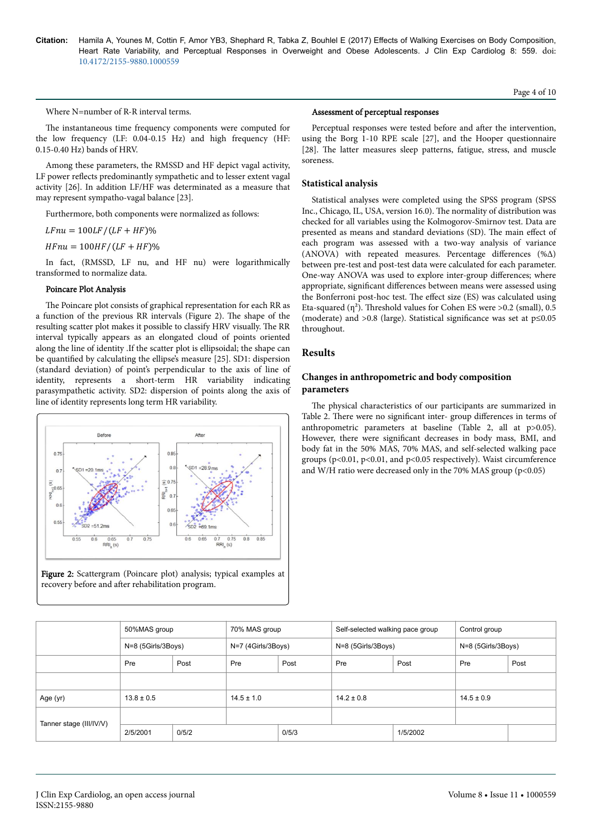Page 4 of 10

Where N=number of R-R interval terms.

The instantaneous time frequency components were computed for the low frequency (LF: 0.04-0.15 Hz) and high frequency (HF: 0.15-0.40 Hz) bands of HRV.

Among these parameters, the RMSSD and HF depict vagal activity, LF power reflects predominantly sympathetic and to lesser extent vagal activity [26]. In addition LF/HF was determinated as a measure that may represent sympatho-vagal balance [23].

Furthermore, both components were normalized as follows:

 $LFnu = 100LF/(LF + HF)\%$ 

 $HFnu = 100HF/(LF + HF)\%$ 

In fact, (RMSSD, LF nu, and HF nu) were logarithmically transformed to normalize data.

#### Poincare Plot Analysis

The Poincare plot consists of graphical representation for each RR as a function of the previous RR intervals (Figure 2). Нe shape of the resulting scatter plot makes it possible to classify HRV visually. Нe RR interval typically appears as an elongated cloud of points oriented along the line of identity .If the scatter plot is ellipsoidal; the shape can be quantified by calculating the ellipse's measure [25]. SD1: dispersion (standard deviation) of point's perpendicular to the axis of line of identity, represents a short-term HR variability indicating parasympathetic activity. SD2: dispersion of points along the axis of line of identity represents long term HR variability.





#### Assessment of perceptual responses

Perceptual responses were tested before and after the intervention, using the Borg 1-10 RPE scale [27], and the Hooper questionnaire [28]. The latter measures sleep patterns, fatigue, stress, and muscle soreness.

#### **Statistical analysis**

Statistical analyses were completed using the SPSS program (SPSS Inc., Chicago, IL, USA, version 16.0). Нe normality of distribution was checked for all variables using the Kolmogorov-Smirnov test. Data are presented as means and standard deviations (SD). The main effect of each program was assessed with a two-way analysis of variance (ANOVA) with repeated measures. Percentage differences  $(\% \Delta)$ between pre-test and post-test data were calculated for each parameter. One-way ANOVA was used to explore inter-group differences; where appropriate, significant differences between means were assessed using the Bonferroni post-hoc test. The effect size (ES) was calculated using Eta-squared ( $\eta^2$ ). Threshold values for Cohen ES were >0.2 (small), 0.5 (moderate) and >0.8 (large). Statistical significance was set at p≤0.05 throughout.

# **Results**

# **Changes in anthropometric and body composition parameters**

The physical characteristics of our participants are summarized in Table 2. There were no significant inter- group differences in terms of anthropometric parameters at baseline (Table 2, all at p>0.05). However, there were significant decreases in body mass, BMI, and body fat in the 50% MAS, 70% MAS, and self-selected walking pace groups (p<0.01, p<0.01, and p<0.05 respectively). Waist circumference and W/H ratio were decreased only in the 70% MAS group  $(p<0.05)$ 

|                         |                    | 50%MAS group |                    | 70% MAS group | Self-selected walking pace group |      | Control group      |      |  |
|-------------------------|--------------------|--------------|--------------------|---------------|----------------------------------|------|--------------------|------|--|
|                         | N=8 (5Girls/3Boys) |              | N=7 (4Girls/3Boys) |               | N=8 (5Girls/3Boys)               |      | N=8 (5Girls/3Boys) |      |  |
|                         | Pre                | Post         | Pre                | Post          | Pre                              | Post | Pre                | Post |  |
|                         |                    |              |                    |               |                                  |      |                    |      |  |
| Age (yr)                | $13.8 \pm 0.5$     |              | $14.5 \pm 1.0$     |               | $14.2 \pm 0.8$                   |      | $14.5 \pm 0.9$     |      |  |
|                         |                    |              |                    |               |                                  |      |                    |      |  |
| Tanner stage (III/IV/V) | 0/5/2<br>2/5/2001  |              | 0/5/3              |               | 1/5/2002                         |      |                    |      |  |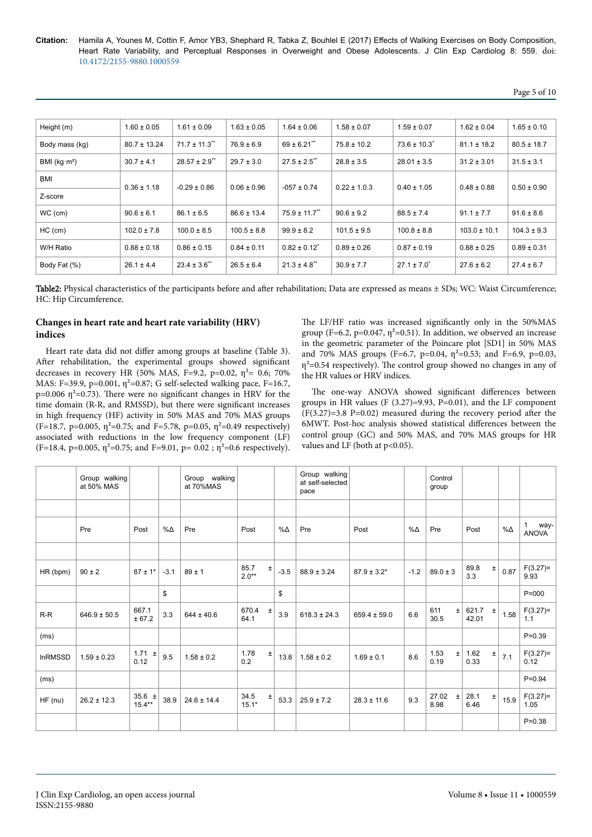| Height (m)      | $1.60 \pm 0.05$  | $1.61 \pm 0.09$               | $1.63 \pm 0.05$ | $1.64 \pm 0.06$               | $1.58 \pm 0.07$  | $1.59 \pm 0.07$   | $1.62 \pm 0.04$  | $1.65 \pm 0.10$ |  |
|-----------------|------------------|-------------------------------|-----------------|-------------------------------|------------------|-------------------|------------------|-----------------|--|
| Body mass (kg)  | $80.7 \pm 13.24$ | $71.7 \pm 11.3$ <sup>**</sup> | $76.9 \pm 6.9$  | $69 \pm 6.21$                 | $75.8 \pm 10.2$  | $73.6 \pm 10.3^*$ | $81.1 \pm 18.2$  | $80.5 \pm 18.7$ |  |
| BMI ( $kg·m²$ ) | $30.7 \pm 4.1$   | $28.57 \pm 2.9$ <sup>**</sup> | $29.7 \pm 3.0$  | $27.5 \pm 2.5$ <sup>**</sup>  | $28.8 \pm 3.5$   | $28.01 \pm 3.5$   | $31.2 \pm 3.01$  | $31.5 \pm 3.1$  |  |
| <b>BMI</b>      |                  |                               |                 |                               |                  |                   |                  |                 |  |
| Z-score         | $0.36 \pm 1.18$  | $-0.29 \pm 0.86$              | $0.06 \pm 0.96$ | $-057 \pm 0.74$               | $0.22 \pm 1.0.3$ | $0.40 \pm 1.05$   | $0.48 \pm 0.88$  | $0.50 \pm 0.90$ |  |
| $WC$ (cm)       | $90.6 \pm 6.1$   | $86.1 \pm 6.5$                | $86.6 \pm 13.4$ | $75.9 \pm 11.7$ <sup>**</sup> | $90.6 \pm 9.2$   | $88.5 \pm 7.4$    | $91.1 \pm 7.7$   | $91.6 \pm 8.6$  |  |
| $HC$ (cm)       | $102.0 \pm 7.8$  | $100.0 \pm 8.5$               | $100.5 \pm 8.8$ | $99.9 \pm 8.2$                | $101.5 \pm 9.5$  | $100.8 \pm 8.8$   | $103.0 \pm 10.1$ | $104.3 \pm 9.3$ |  |
| W/H Ratio       | $0.88 \pm 0.18$  | $0.86 \pm 0.15$               | $0.84 \pm 0.11$ | $0.82 \pm 0.12^*$             | $0.89 \pm 0.26$  | $0.87 \pm 0.19$   | $0.88 \pm 0.25$  | $0.89 \pm 0.31$ |  |
| Body Fat (%)    | $26.1 \pm 4.4$   | $23.4 \pm 3.6$ **             | $26.5 \pm 6.4$  | $21.3 \pm 4.8$ <sup>**</sup>  | $30.9 \pm 7.7$   | $27.1 \pm 7.0^*$  | $27.6 \pm 6.2$   | $27.4 \pm 6.7$  |  |

Table2: Physical characteristics of the participants before and after rehabilitation; Data are expressed as means ± SDs; WC: Waist Circumference; HC: Hip Circumference.

# **Changes in heart rate and heart rate variability (HRV) indices**

Heart rate data did not differ among groups at baseline (Table 3). After rehabilitation, the experimental groups showed significant decreases in recovery HR (50% MAS, F=9.2, p=0.02,  $\eta^2$ = 0.6; 70% MAS: F=39.9, p=0.001,  $\eta^2$ =0.87; G self-selected walking pace, F=16.7,  $p=0.006$   $\eta^2=0.73$ ). There were no significant changes in HRV for the time domain (R-R, and RMSSD), but there were significant increases in high frequency (HF) activity in 50% MAS and 70% MAS groups (F=18.7, p=0.005,  $\eta^2$ =0.75; and F=5.78, p=0.05,  $\eta^2$ =0.49 respectively) associated with reductions in the low frequency component (LF) (F=18.4, p=0.005,  $\eta^2$ =0.75; and F=9.01, p= 0.02;  $\eta^2$ =0.6 respectively).

The LF/HF ratio was increased significantly only in the 50%MAS group (F=6.2, p=0.047,  $\eta^2$ =0.51). In addition, we observed an increase in the geometric parameter of the Poincare plot [SD1] in 50% MAS and 70% MAS groups (F=6.7, p=0.04,  $\eta^2$ =0.53; and F=6.9, p=0.03,  $\eta^2$ =0.54 respectively). The control group showed no changes in any of the HR values or HRV indices.

The one-way ANOVA showed significant differences between groups in HR values (F  $(3.27)=9.93$ , P=0.01), and the LF component  $(F(3.27)=3.8 \text{ P}=0.02)$  measured during the recovery period after the 6MWT. Post-hoc analysis showed statistical differences between the control group (GC) and 50% MAS, and 70% MAS groups for HR values and LF (both at p<0.05).

|                | Group walking<br>at 50% MAS |                         |             | Group walking<br>at 70%MAS |                          |             | Group walking<br>at self-selected<br>pace |                  |             | Control<br>group       |                |       |             |                    |
|----------------|-----------------------------|-------------------------|-------------|----------------------------|--------------------------|-------------|-------------------------------------------|------------------|-------------|------------------------|----------------|-------|-------------|--------------------|
|                |                             |                         |             |                            |                          |             |                                           |                  |             |                        |                |       |             |                    |
|                | Pre                         | Post                    | $\% \Delta$ | Pre                        | Post                     | $\% \Delta$ | Pre                                       | Post             | $\% \Delta$ | Pre                    | Post           |       | $\% \Delta$ | 1<br>way-<br>ANOVA |
|                |                             |                         |             |                            |                          |             |                                           |                  |             |                        |                |       |             |                    |
| HR (bpm)       | $90 \pm 2$                  | $87 \pm 1$ *            | $-3.1$      | $89 \pm 1$                 | 85.7<br>$\pm$<br>$2.0**$ | $-3.5$      | $88.9 \pm 3.24$                           | $87.9 \pm 3.2^*$ | $-1.2$      | $89.0 \pm 3$           | 89.8<br>3.3    | $\pm$ | 0.87        | $F(3.27)=$<br>9.93 |
|                |                             |                         | \$          |                            |                          | \$          |                                           |                  |             |                        |                |       |             | $P = 000$          |
| $R-R$          | $646.9 \pm 50.5$            | 667.1<br>± 67.2         | 3.3         | $644 \pm 40.6$             | 670.4<br>$\pm$<br>64.1   | 3.9         | $618.3 \pm 24.3$                          | $659.4 \pm 59.0$ | 6.6         | 611<br>$\pm$<br>30.5   | 621.7<br>42.01 | $\pm$ | 1.58        | $F(3.27)=$<br>1.1  |
| (ms)           |                             |                         |             |                            |                          |             |                                           |                  |             |                        |                |       |             | $P = 0.39$         |
| <b>InRMSSD</b> | $1.59 \pm 0.23$             | 1.71 $\pm$<br>0.12      | 9.5         | $1.58 \pm 0.2$             | 1.78<br>$\pm$<br>0.2     | 13.8        | $1.58 \pm 0.2$                            | $1.69 \pm 0.1$   | 8.6         | 1.53<br>$\pm$<br>0.19  | 1.62<br>0.33   | $\pm$ | 7.1         | $F(3.27)=$<br>0.12 |
| (ms)           |                             |                         |             |                            |                          |             |                                           |                  |             |                        |                |       |             | $P = 0.94$         |
| $HF$ (nu)      | $26.2 \pm 12.3$             | 35.6 $\pm$<br>$15.4***$ | 38.9        | $24.6 \pm 14.4$            | 34.5<br>$\pm$<br>$15.1*$ | 53.3        | $25.9 \pm 7.2$                            | $28.3 \pm 11.6$  | 9.3         | 27.02<br>$\pm$<br>8.98 | 28.1<br>6.46   | $\pm$ | 15.9        | $F(3.27)=$<br>1.05 |
|                |                             |                         |             |                            |                          |             |                                           |                  |             |                        |                |       |             | $P = 0.38$         |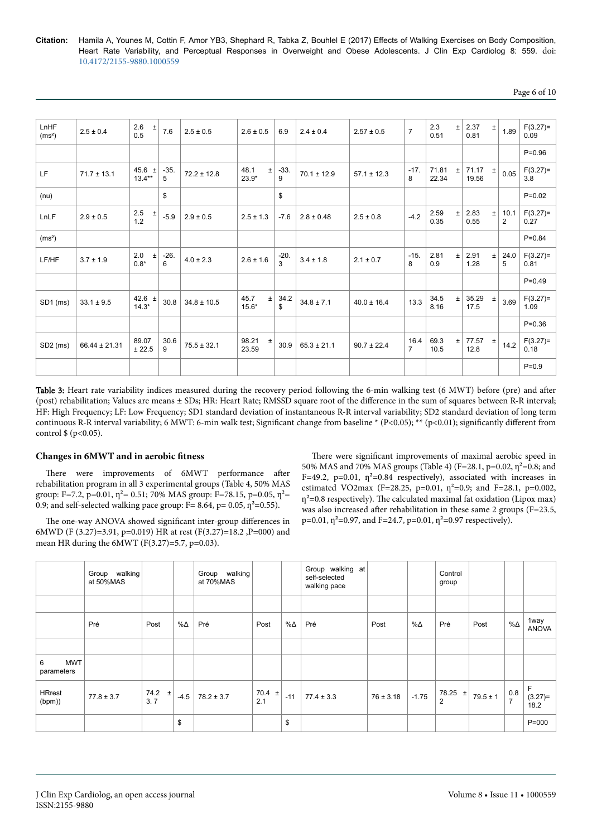| Page 6 of 10 |  |  |  |
|--------------|--|--|--|
|--------------|--|--|--|

| LnHF<br>(ms <sup>2</sup> ) | $2.5 \pm 0.4$     | 2.6<br>$\pm$<br>0.5        | 7.6         | $2.5 \pm 0.5$   | $2.6 \pm 0.5$            | 6.9         | $2.4 \pm 0.4$   | $2.57 \pm 0.5$  | $\overline{7}$         | 2.3<br>0.51    | $\pm$ | 2.37<br>0.81       | $\pm$ | 1.89                   | $F(3.27)=$<br>0.09 |
|----------------------------|-------------------|----------------------------|-------------|-----------------|--------------------------|-------------|-----------------|-----------------|------------------------|----------------|-------|--------------------|-------|------------------------|--------------------|
|                            |                   |                            |             |                 |                          |             |                 |                 |                        |                |       |                    |       |                        | $P = 0.96$         |
| LF                         | $71.7 \pm 13.1$   | 45.6<br>$\pm$<br>$13.4***$ | $-35.$<br>5 | $72.2 \pm 12.8$ | 48.1<br>$\pm$<br>$23.9*$ | $-33.$<br>9 | $70.1 \pm 12.9$ | $57.1 \pm 12.3$ | $-17.$<br>8            | 71.81<br>22.34 | $\pm$ | $71.17 +$<br>19.56 |       | 0.05                   | $F(3.27)=$<br>3.8  |
| (nu)                       |                   |                            | \$          |                 |                          | \$          |                 |                 |                        |                |       |                    |       |                        | $P = 0.02$         |
| LnLF                       | $2.9 \pm 0.5$     | $2.5$<br>1.2<br>$\pm$      | $-5.9$      | $2.9 \pm 0.5$   | $2.5 \pm 1.3$            | $-7.6$      | $2.8 \pm 0.48$  | $2.5 \pm 0.8$   | $-4.2$                 | 2.59<br>0.35   | $\pm$ | 2.83<br>0.55       | $\pm$ | 10.1<br>$\overline{2}$ | $F(3.27)=$<br>0.27 |
| (ms <sup>2</sup> )         |                   |                            |             |                 |                          |             |                 |                 |                        |                |       |                    |       |                        | $P = 0.84$         |
| LF/HF                      | $3.7 \pm 1.9$     | 2.0<br>$\pm$<br>$0.8*$     | $-26.$<br>6 | $4.0 \pm 2.3$   | $2.6 \pm 1.6$            | $-20.$<br>3 | $3.4 \pm 1.8$   | $2.1\pm0.7$     | $-15.$<br>8            | 2.81<br>0.9    | $\pm$ | 2.91<br>1.28       | Ŧ     | 24.0<br>5              | $F(3.27)=$<br>0.81 |
|                            |                   |                            |             |                 |                          |             |                 |                 |                        |                |       |                    |       |                        | $P = 0.49$         |
| SD1 (ms)                   | $33.1 \pm 9.5$    | 42.6 $\pm$<br>$14.3*$      | 30.8        | $34.8 \pm 10.5$ | 45.7<br>$\pm$<br>$15.6*$ | 34.2<br>\$  | $34.8 \pm 7.1$  | $40.0 \pm 16.4$ | 13.3                   | 34.5<br>8.16   | $\pm$ | 35.29<br>17.5      | $\pm$ | 3.69                   | $F(3.27)=$<br>1.09 |
|                            |                   |                            |             |                 |                          |             |                 |                 |                        |                |       |                    |       |                        | $P = 0.36$         |
| SD <sub>2</sub> (ms)       | $66.44 \pm 21.31$ | 89.07<br>± 22.5            | 30.6<br>9   | $75.5 \pm 32.1$ | 98.21<br>$\pm$<br>23.59  | 30.9        | $65.3 \pm 21.1$ | $90.7 \pm 22.4$ | 16.4<br>$\overline{7}$ | 69.3<br>10.5   | $\pm$ | 77.57<br>12.8      | $\pm$ | 14.2                   | $F(3.27)=$<br>0.18 |
|                            |                   |                            |             |                 |                          |             |                 |                 |                        |                |       |                    |       |                        | $P = 0.9$          |

Table 3: Heart rate variability indices measured during the recovery period following the 6-min walking test (6 MWT) before (pre) and after (post) rehabilitation; Values are means ± SDs; HR: Heart Rate; RMSSD square root of the difference in the sum of squares between R-R interval; HF: High Frequency; LF: Low Frequency; SD1 standard deviation of instantaneous R-R interval variability; SD2 standard deviation of long term continuous R-R interval variability; 6 MWT: 6-min walk test; Significant change from baseline \* (P<0.05); \*\* (p<0.01); significantly different from control  $\{(p<0.05)\}.$ 

# **Changes in 6MWT and in aerobic fitness**

There were improvements of 6MWT performance after rehabilitation program in all 3 experimental groups (Table 4, 50% MAS group: F=7.2, p=0.01,  $\eta^2$ = 0.51; 70% MAS group: F=78.15, p=0.05,  $\eta^2$ = 0.9; and self-selected walking pace group:  $F = 8.64$ ,  $p = 0.05$ ,  $\eta^2 = 0.55$ ).

The one-way ANOVA showed significant inter-group differences in 6MWD (F (3.27)=3.91, p=0.019) HR at rest (F(3.27)=18.2 ,P=000) and mean HR during the 6MWT (F(3.27)=5.7, p=0.03).

There were significant improvements of maximal aerobic speed in 50% MAS and 70% MAS groups (Table 4) (F=28.1, p=0.02,  $\eta^2$ =0.8; and F=49.2, p=0.01,  $\eta^2$ =0.84 respectively), associated with increases in estimated VO2max (F=28.25, p=0.01,  $\eta^2$ =0.9; and F=28.1, p=0.002,  $\eta^2$ =0.8 respectively). The calculated maximal fat oxidation (Lipox max) was also increased after rehabilitation in these same 2 groups (F=23.5, p=0.01,  $\eta$ <sup>2</sup>=0.97, and F=24.7, p=0.01,  $\eta$ <sup>2</sup>=0.97 respectively).

|                               | Group walking<br>at 50%MAS |                   |        | Group walking<br>at 70%MAS |                   |       | Group walking at<br>self-selected<br>walking pace |               |         | Control<br>group |              |                       |                         |
|-------------------------------|----------------------------|-------------------|--------|----------------------------|-------------------|-------|---------------------------------------------------|---------------|---------|------------------|--------------|-----------------------|-------------------------|
|                               |                            |                   |        |                            |                   |       |                                                   |               |         |                  |              |                       |                         |
|                               | Pré                        | Post              | %Δ     | Pré                        | Post              | %∆    | Pré                                               | Post          | %Δ      | Pré              | Post         | $\% \Delta$           | 1way<br><b>ANOVA</b>    |
|                               |                            |                   |        |                            |                   |       |                                                   |               |         |                  |              |                       |                         |
| <b>MWT</b><br>6<br>parameters |                            |                   |        |                            |                   |       |                                                   |               |         |                  |              |                       |                         |
| <b>HRrest</b><br>(bpm))       | $77.8 \pm 3.7$             | 74.2 $\pm$<br>3.7 | $-4.5$ | $78.2 \pm 3.7$             | 70.4 $\pm$<br>2.1 | $-11$ | $77.4 \pm 3.3$                                    | $76 \pm 3.18$ | $-1.75$ | $78.25 \pm$<br>2 | $79.5 \pm 1$ | 0.8<br>$\overline{7}$ | F.<br>$(3.27)=$<br>18.2 |
|                               |                            |                   | \$     |                            |                   | \$    |                                                   |               |         |                  |              |                       | $P = 000$               |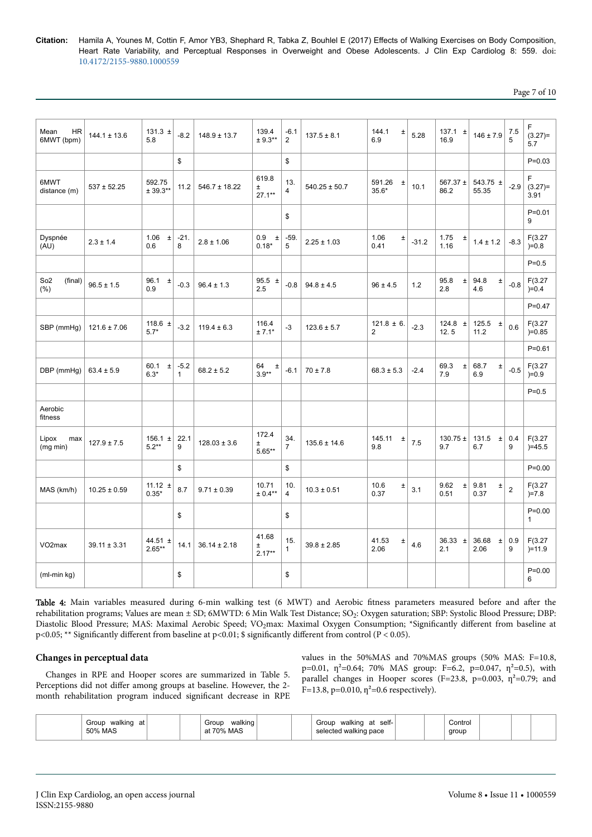| age 7 |  | of 1 | 10 |
|-------|--|------|----|
|-------|--|------|----|

| <b>HR</b><br>Mean<br>6MWT (bpm)       | $144.1 \pm 13.6$ | 131.3 $\pm$<br>5.8       | $-8.2$                 | $148.9 \pm 13.7$  | 139.4<br>$± 9.3***$         | $-6.1$<br>$\overline{2}$ | $137.5 \pm 8.1$   | 144.1<br>$\pm$<br>6.9             | 5.28    | 137.1 $\pm$<br>16.9   | $146 \pm 7.9$          | 7.5<br>5       | F<br>$(3.27)=$<br>5.7      |
|---------------------------------------|------------------|--------------------------|------------------------|-------------------|-----------------------------|--------------------------|-------------------|-----------------------------------|---------|-----------------------|------------------------|----------------|----------------------------|
|                                       |                  |                          | \$                     |                   |                             | \$                       |                   |                                   |         |                       |                        |                | $P = 0.03$                 |
| 6MWT<br>distance (m)                  | $537 \pm 52.25$  | 592.75<br>$± 39.3**$     | 11.2                   | $546.7 \pm 18.22$ | 619.8<br>Ŧ.<br>$27.1**$     | 13.<br>$\overline{4}$    | $540.25 \pm 50.7$ | 591.26<br>$\pm$<br>$35.6*$        | 10.1    | 567.37 $\pm$<br>86.2  | 543.75 ±<br>55.35      | $-2.9$         | F<br>$(3.27)=$<br>3.91     |
|                                       |                  |                          |                        |                   |                             | \$                       |                   |                                   |         |                       |                        |                | $P = 0.01$<br>9            |
| Dyspnée<br>(AU)                       | $2.3 \pm 1.4$    | 1.06<br>$\pm$<br>0.6     | $-21.$<br>8            | $2.8 \pm 1.06$    | 0.9<br>$\pm$<br>$0.18*$     | $-59.$<br>5              | $2.25 \pm 1.03$   | 1.06<br>Ŧ<br>0.41                 | $-31.2$ | 1.75<br>$\pm$<br>1.16 | $1.4 \pm 1.2$          | $-8.3$         | F(3.27)<br>$)=0.8$         |
|                                       |                  |                          |                        |                   |                             |                          |                   |                                   |         |                       |                        |                | $P = 0.5$                  |
| So <sub>2</sub><br>(final)<br>$(\% )$ | $96.5 \pm 1.5$   | 96.1<br>$\pm$<br>0.9     | $-0.3$                 | $96.4 \pm 1.3$    | $95.5 \pm$<br>2.5           | $-0.8$                   | $94.8 \pm 4.5$    | $96 \pm 4.5$                      | 1.2     | 95.8<br>$\pm$<br>2.8  | 94.8<br>$\pm$<br>4.6   | $-0.8$         | F(3.27)<br>$)=0.4$         |
|                                       |                  |                          |                        |                   |                             |                          |                   |                                   |         |                       |                        |                | $P = 0.47$                 |
| SBP (mmHg)                            | $121.6 \pm 7.06$ | 118.6 $\pm$<br>$5.7*$    | $-3.2$                 | $119.4 \pm 6.3$   | 116.4<br>$± 7.1*$           | $-3$                     | $123.6 \pm 5.7$   | $121.8 \pm 6$ .<br>$\overline{c}$ | $-2.3$  | 124.8 $\pm$<br>12.5   | 125.5 $\pm$<br>11.2    | 0.6            | F(3.27)<br>$)=0.85$        |
|                                       |                  |                          |                        |                   |                             |                          |                   |                                   |         |                       |                        |                | $P = 0.61$                 |
| DBP (mmHg)                            | $63.4 \pm 5.9$   | 60.1<br>$\pm$<br>$6.3*$  | $-5.2$<br>$\mathbf{1}$ | $68.2 \pm 5.2$    | 64<br>$\pm$<br>$3.9**$      | $-6.1$                   | $70 \pm 7.8$      | $68.3 \pm 5.3$                    | $-2.4$  | 69.3<br>$\pm$<br>7.9  | 68.7<br>$\pm$<br>6.9   | $-0.5$         | F(3.27)<br>$)=0.9$         |
|                                       |                  |                          |                        |                   |                             |                          |                   |                                   |         |                       |                        |                | $P = 0.5$                  |
| Aerobic<br>fitness                    |                  |                          |                        |                   |                             |                          |                   |                                   |         |                       |                        |                |                            |
| Lipox<br>max<br>(mg min)              | $127.9 \pm 7.5$  | $156.1 \pm$<br>$5.2**$   | 22.1<br>9              | $128.03 \pm 3.6$  | 172.4<br>Ŧ<br>$5.65***$     | 34.<br>$\overline{7}$    | $135.6 \pm 14.6$  | 145.11<br>$\pm$<br>9.8            | 7.5     | 130.75 $\pm$<br>9.7   | 131.5<br>$\pm$<br>6.7  | 0.4<br>9       | F(3.27)<br>$)=45.5$        |
|                                       |                  |                          | \$                     |                   |                             | \$                       |                   |                                   |         |                       |                        |                | $P = 0.00$                 |
| MAS (km/h)                            | $10.25 \pm 0.59$ | 11.12 $\pm$<br>$0.35*$   | 8.7                    | $9.71 \pm 0.39$   | 10.71<br>$± 0.4***$         | 10.<br>$\overline{4}$    | $10.3 \pm 0.51$   | 10.6<br>Ŧ<br>0.37                 | 3.1     | 9.62<br>$\pm$<br>0.51 | 9.81<br>$\pm$<br>0.37  | $\overline{2}$ | F(3.27)<br>$)=7.8$         |
|                                       |                  |                          | \$                     |                   |                             | \$                       |                   |                                   |         |                       |                        |                | $P = 0.00$<br>$\mathbf{1}$ |
| VO <sub>2</sub> max                   | $39.11 \pm 3.31$ | 44.51 $\pm$<br>$2.65***$ | 14.1                   | $36.14 \pm 2.18$  | 41.68<br>$\pm$<br>$2.17***$ | 15.<br>$\mathbf{1}$      | $39.8 \pm 2.85$   | 41.53<br>$\pm$<br>2.06            | 4.6     | $36.33 \pm$<br>2.1    | 36.68<br>$\pm$<br>2.06 | 0.9<br>9       | F(3.27)<br>$)=11.9$        |
| $(ml$ -min $kg)$                      |                  |                          | \$                     |                   |                             | \$                       |                   |                                   |         |                       |                        |                | $P = 0.00$<br>6            |

Table 4: Main variables measured during 6-min walking test (6 MWT) and Aerobic fitness parameters measured before and after the rehabilitation programs; Values are mean ± SD; 6MWTD: 6 Min Walk Test Distance; SO<sub>2</sub>: Oxygen saturation; SBP: Systolic Blood Pressure; DBP: Diastolic Blood Pressure; MAS: Maximal Aerobic Speed; VO<sub>2</sub>max: Maximal Oxygen Consumption; \*Significantly different from baseline at p<0.05; \*\* Significantly different from baseline at p<0.01; \$ significantly different from control (P < 0.05).

# **Changes in perceptual data**

Changes in RPE and Hooper scores are summarized in Table 5. Perceptions did not differ among groups at baseline. However, the 2month rehabilitation program induced significant decrease in RPE

values in the 50%MAS and 70%MAS groups (50% MAS: F=10.8, p=0.01,  $\eta^2$ =0.64; 70% MAS group: F=6.2, p=0.047,  $\eta^2$ =0.5), with parallel changes in Hooper scores (F=23.8, p=0.003,  $\eta^2$ =0.79; and  $F=13.8$ , p=0.010,  $\eta^2$ =0.6 respectively).

|  | Group<br>at<br>walkınc<br>$\sim$<br><b>MAS</b><br>50% |  | walkind<br>Grout<br>$\overline{\phantom{a}}$<br>яt |  |  | $\cdot$ $\cdot$<br>self-<br>Group<br>I<br>at<br>wainiiu<br>walking pace<br>$^{cc}$<br>$\overline{\phantom{a}}$ |  |  | Control<br>group |  |  |  |
|--|-------------------------------------------------------|--|----------------------------------------------------|--|--|----------------------------------------------------------------------------------------------------------------|--|--|------------------|--|--|--|
|--|-------------------------------------------------------|--|----------------------------------------------------|--|--|----------------------------------------------------------------------------------------------------------------|--|--|------------------|--|--|--|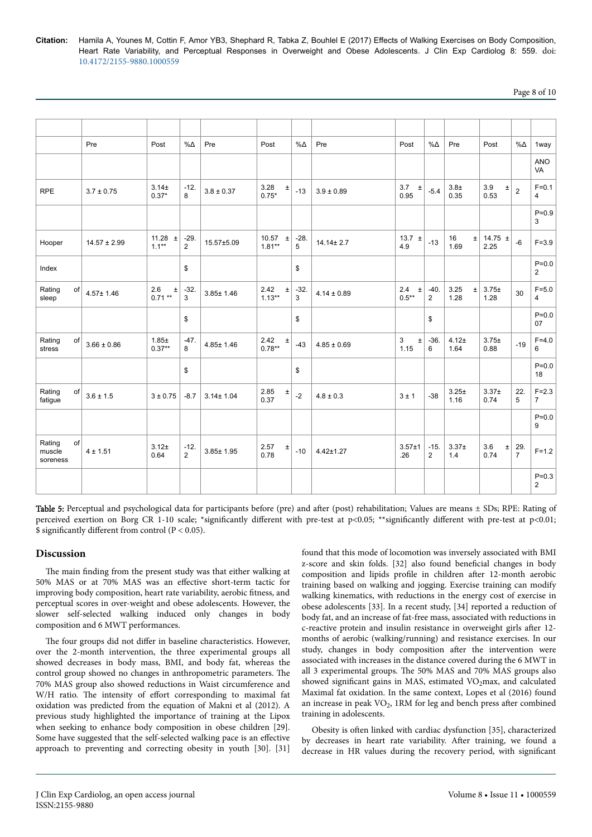| Page 8 of 10 |  |  |  |  |
|--------------|--|--|--|--|
|--------------|--|--|--|--|

|                                    | Pre              | Post                      | $\% \Delta$              | Pre             | Post                       | $\% \Delta$ | Pre             | Post                     | $\% \Delta$              | Pre                   | Post                 | %Δ                      | 1way                        |
|------------------------------------|------------------|---------------------------|--------------------------|-----------------|----------------------------|-------------|-----------------|--------------------------|--------------------------|-----------------------|----------------------|-------------------------|-----------------------------|
|                                    |                  |                           |                          |                 |                            |             |                 |                          |                          |                       |                      |                         | ANO<br>VA                   |
| <b>RPE</b>                         | $3.7 \pm 0.75$   | $3.14 +$<br>$0.37*$       | $-12.$<br>8              | $3.8 \pm 0.37$  | 3.28<br>$\pm$<br>$0.75*$   | $-13$       | $3.9 \pm 0.89$  | 3.7 $\pm$<br>0.95        | $-5.4$                   | $3.8\pm$<br>0.35      | 3.9<br>$\pm$<br>0.53 | $\overline{\mathbf{2}}$ | $F = 0.1$<br>4              |
|                                    |                  |                           |                          |                 |                            |             |                 |                          |                          |                       |                      |                         | $P = 0.9$<br>3              |
| Hooper                             | $14.57 \pm 2.99$ | 11.28 $\pm$<br>$1.1***$   | $-29.$<br>$\overline{2}$ | 15.57±5.09      | 10.57<br>$\pm$<br>$1.81**$ | $-28.$<br>5 | $14.14 \pm 2.7$ | 13.7 $\pm$<br>4.9        | $-13$                    | 16<br>$\pm$<br>1.69   | 14.75 $\pm$<br>2.25  | $-6$                    | $F = 3.9$                   |
| Index                              |                  |                           | \$                       |                 |                            | \$          |                 |                          |                          |                       |                      |                         | $P = 0.0$<br>$\overline{2}$ |
| Rating<br>of<br>sleep              | $4.57 \pm 1.46$  | 2.6<br>$\pm$<br>$0.71***$ | $-32.$<br>3              | $3.85 \pm 1.46$ | 2.42<br>$\pm$<br>$1.13***$ | $-32.$<br>3 | $4.14 \pm 0.89$ | 2.4<br>$\pm$<br>$0.5***$ | $-40.$<br>$\overline{2}$ | 3.25<br>$\pm$<br>1.28 | $3.75 \pm$<br>1.28   | 30                      | $F = 5.0$<br>4              |
|                                    |                  |                           | \$                       |                 |                            | \$          |                 |                          | \$                       |                       |                      |                         | $P = 0.0$<br>07             |
| Rating<br>of<br>stress             | $3.66 \pm 0.86$  | $1.85 \pm$<br>$0.37**$    | $-47.$<br>8              | $4.85 \pm 1.46$ | 2.42<br>$\pm$<br>$0.78**$  | $-43$       | $4.85 \pm 0.69$ | 3<br>$\pm$<br>1.15       | $-36.$<br>6              | $4.12 +$<br>1.64      | $3.75 \pm$<br>0.88   | $-19$                   | $F = 4.0$<br>6              |
|                                    |                  |                           | \$                       |                 |                            | \$          |                 |                          |                          |                       |                      |                         | $P = 0.0$<br>18             |
| Rating<br>of<br>fatigue            | $3.6 \pm 1.5$    | $3 + 0.75$                | $-8.7$                   | $3.14 \pm 1.04$ | 2.85<br>±<br>0.37          | $-2$        | $4.8 \pm 0.3$   | 3±1                      | $-38$                    | $3.25 +$<br>1.16      | $3.37 +$<br>0.74     | 22.<br>5                | $F = 2.3$<br>$\overline{7}$ |
|                                    |                  |                           |                          |                 |                            |             |                 |                          |                          |                       |                      |                         | $P = 0.0$<br>9              |
| Rating<br>of<br>muscle<br>soreness | 4 ± 1.51         | $3.12 +$<br>0.64          | $-12.$<br>$\overline{2}$ | $3.85 \pm 1.95$ | 2.57<br>±<br>0.78          | $-10$       | $4.42 \pm 1.27$ | $3.57 + 1$<br>.26        | $-15.$<br>$\overline{2}$ | $3.37 +$<br>1.4       | 3.6<br>$\pm$<br>0.74 | 29.<br>$\overline{7}$   | $F = 1.2$                   |
|                                    |                  |                           |                          |                 |                            |             |                 |                          |                          |                       |                      |                         | $P = 0.3$<br>$\overline{2}$ |

Table 5: Perceptual and psychological data for participants before (pre) and after (post) rehabilitation; Values are means  $\pm$  SDs; RPE: Rating of perceived exertion on Borg CR 1-10 scale; \*significantly different with pre-test at p<0.05; \*\*significantly different with pre-test at p<0.01;  $\frac{1}{2}$  significantly different from control (P < 0.05).

# **Discussion**

The main finding from the present study was that either walking at 50% MAS or at 70% MAS was an effective short-term tactic for improving body composition, heart rate variability, aerobic fitness, and perceptual scores in over-weight and obese adolescents. However, the slower self-selected walking induced only changes in body composition and 6 MWT performances.

The four groups did not differ in baseline characteristics. However, over the 2-month intervention, the three experimental groups all showed decreases in body mass, BMI, and body fat, whereas the control group showed no changes in anthropometric parameters. Нe 70% MAS group also showed reductions in Waist circumference and W/H ratio. The intensity of effort corresponding to maximal fat oxidation was predicted from the equation of Makni et al (2012). A previous study highlighted the importance of training at the Lipox when seeking to enhance body composition in obese children [29]. Some have suggested that the self-selected walking pace is an effective approach to preventing and correcting obesity in youth [30]. [31]

found that this mode of locomotion was inversely associated with BMI z-score and skin folds. [32] also found beneficial changes in body composition and lipids profile in children after 12-month aerobic training based on walking and jogging. Exercise training can modify walking kinematics, with reductions in the energy cost of exercise in obese adolescents [33]. In a recent study, [34] reported a reduction of body fat, and an increase of fat-free mass, associated with reductions in c-reactive protein and insulin resistance in overweight girls after 12months of aerobic (walking/running) and resistance exercises. In our study, changes in body composition after the intervention were associated with increases in the distance covered during the 6 MWT in all 3 experimental groups. Нe 50% MAS and 70% MAS groups also showed significant gains in MAS, estimated VO<sub>2</sub>max, and calculated Maximal fat oxidation. In the same context, Lopes et al (2016) found an increase in peak VO<sub>2</sub>, 1RM for leg and bench press after combined training in adolescents.

Obesity is often linked with cardiac dysfunction [35], characterized by decreases in heart rate variability. After training, we found a decrease in HR values during the recovery period, with significant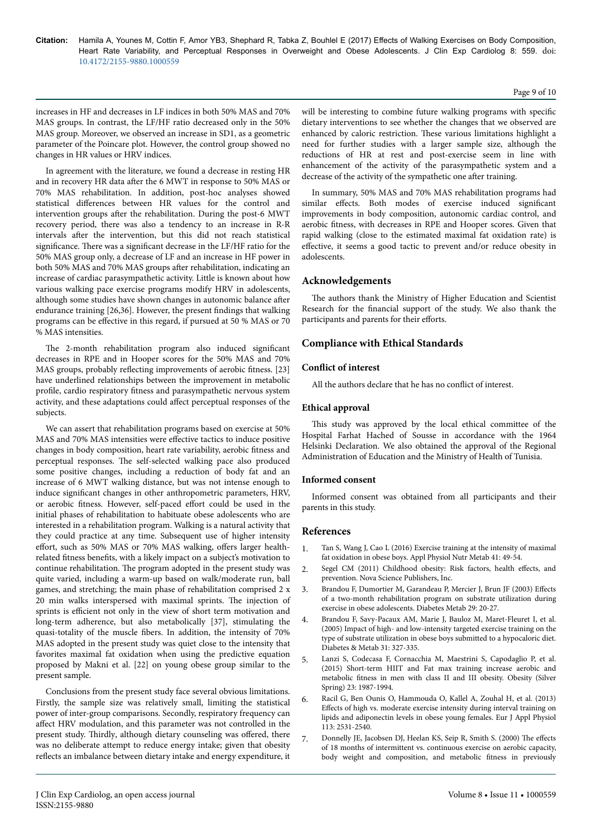#### Page 9 of 10

increases in HF and decreases in LF indices in both 50% MAS and 70% MAS groups. In contrast, the LF/HF ratio decreased only in the 50% MAS group. Moreover, we observed an increase in SD1, as a geometric parameter of the Poincare plot. However, the control group showed no changes in HR values or HRV indices.

In agreement with the literature, we found a decrease in resting HR and in recovery HR data after the 6 MWT in response to 50% MAS or 70% MAS rehabilitation. In addition, post-hoc analyses showed statistical differences between HR values for the control and intervention groups after the rehabilitation. During the post-6 MWT recovery period, there was also a tendency to an increase in R-R intervals after the intervention, but this did not reach statistical significance. There was a significant decrease in the LF/HF ratio for the 50% MAS group only, a decrease of LF and an increase in HF power in both 50% MAS and 70% MAS groups after rehabilitation, indicating an increase of cardiac parasympathetic activity. Little is known about how various walking pace exercise programs modify HRV in adolescents, although some studies have shown changes in autonomic balance after endurance training [26,36]. However, the present findings that walking programs can be effective in this regard, if pursued at 50 % MAS or 70 % MAS intensities.

The 2-month rehabilitation program also induced significant decreases in RPE and in Hooper scores for the 50% MAS and 70% MAS groups, probably reflecting improvements of aerobic fitness. [23] have underlined relationships between the improvement in metabolic profile, cardio respiratory fitness and parasympathetic nervous system activity, and these adaptations could affect perceptual responses of the subjects.

We can assert that rehabilitation programs based on exercise at 50% MAS and 70% MAS intensities were effective tactics to induce positive changes in body composition, heart rate variability, aerobic fitness and perceptual responses. Нe self-selected walking pace also produced some positive changes, including a reduction of body fat and an increase of 6 MWT walking distance, but was not intense enough to induce significant changes in other anthropometric parameters, HRV, or aerobic fitness. However, self-paced effort could be used in the initial phases of rehabilitation to habituate obese adolescents who are interested in a rehabilitation program. Walking is a natural activity that they could practice at any time. Subsequent use of higher intensity effort, such as 50% MAS or 70% MAS walking, offers larger healthrelated fitness benefits, with a likely impact on a subject's motivation to continue rehabilitation. Нe program adopted in the present study was quite varied, including a warm-up based on walk/moderate run, ball games, and stretching; the main phase of rehabilitation comprised 2 x 20 min walks interspersed with maximal sprints. Нe injection of sprints is efficient not only in the view of short term motivation and long-term adherence, but also metabolically [37], stimulating the quasi-totality of the muscle fibers. In addition, the intensity of 70% MAS adopted in the present study was quiet close to the intensity that favorites maximal fat oxidation when using the predictive equation proposed by Makni et al. [22] on young obese group similar to the present sample.

Conclusions from the present study face several obvious limitations. Firstly, the sample size was relatively small, limiting the statistical power of inter-group comparisons. Secondly, respiratory frequency can affect HRV modulation, and this parameter was not controlled in the present study. Thirdly, although dietary counseling was offered, there was no deliberate attempt to reduce energy intake; given that obesity reflects an imbalance between dietary intake and energy expenditure, it will be interesting to combine future walking programs with specific dietary interventions to see whether the changes that we observed are enhanced by caloric restriction. Нese various limitations highlight a need for further studies with a larger sample size, although the reductions of HR at rest and post-exercise seem in line with enhancement of the activity of the parasympathetic system and a decrease of the activity of the sympathetic one after training.

In summary, 50% MAS and 70% MAS rehabilitation programs had similar effects. Both modes of exercise induced significant improvements in body composition, autonomic cardiac control, and aerobic fitness, with decreases in RPE and Hooper scores. Given that rapid walking (close to the estimated maximal fat oxidation rate) is effective, it seems a good tactic to prevent and/or reduce obesity in adolescents.

# **Acknowledgements**

The authors thank the Ministry of Higher Education and Scientist Research for the financial support of the study. We also thank the participants and parents for their efforts.

# **Compliance with Ethical Standards**

# **Conflict of interest**

All the authors declare that he has no conflict of interest.

# **Ethical approval**

This study was approved by the local ethical committee of the Hospital Farhat Hached of Sousse in accordance with the 1964 Helsinki Declaration. We also obtained the approval of the Regional Administration of Education and the Ministry of Health of Tunisia.

# **Informed consent**

Informed consent was obtained from all participants and their parents in this study.

# **References**

- 1. Tan S, Wang J, Cao L (2016) Exercise training at the intensity of maximal fat oxidation in obese boys. Appl Physiol Nutr Metab 41: 49-54.
- 2. Segel CM (2011) Childhood obesity: Risk factors, health effects, and prevention. Nova Science Publishers, Inc.
- 3. Brandou F, Dumortier M, Garandeau P, Mercier J, Brun JF (2003) Effects of a two-month rehabilitation program on substrate utilization during exercise in obese adolescents. Diabetes Metab 29: 20-27.
- 4. Brandou F, Savy-Pacaux AM, Marie J, Bauloz M, Maret-Fleuret I, et al. (2005) Impact of high- and low-intensity targeted exercise training on the type of substrate utilization in obese boys submitted to a hypocaloric diet. Diabetes & Metab 31: 327-335.
- 5. Lanzi S, Codecasa F, Cornacchia M, Maestrini S, Capodaglio P, et al. (2015) Short-term HIIT and Fat max training increase aerobic and metabolic fitness in men with class II and III obesity. Obesity (Silver Spring) 23: 1987-1994.
- 6. Racil G, Ben Ounis O, Hammouda O, Kallel A, Zouhal H, et al. (2013) Effects of high vs. moderate exercise intensity during interval training on lipids and adiponectin levels in obese young females. Eur J Appl Physiol 113: 2531-2540.
- 7. Donnelly JE, Jacobsen DJ, Heelan KS, Seip R, Smith S. (2000) The effects of 18 months of intermittent vs. continuous exercise on aerobic capacity, body weight and composition, and metabolic fitness in previously